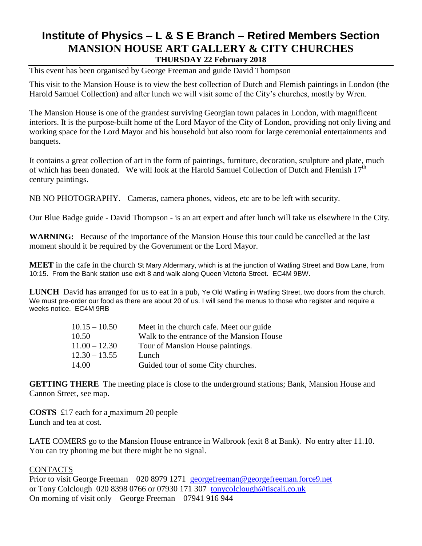## **Institute of Physics – L & S E Branch – Retired Members Section MANSION HOUSE ART GALLERY & CITY CHURCHES THURSDAY 22 February 2018**

This event has been organised by George Freeman and guide David Thompson

This visit to the Mansion House is to view the best collection of Dutch and Flemish paintings in London (the Harold Samuel Collection) and after lunch we will visit some of the City's churches, mostly by Wren.

The Mansion House is one of the grandest surviving Georgian town palaces in London, with magnificent interiors. It is the purpose-built home of the Lord Mayor of the City of London, providing not only living and working space for the Lord Mayor and his household but also room for large ceremonial entertainments and banquets.

It contains a great collection of art in the form of paintings, furniture, decoration, sculpture and plate, much of which has been donated. We will look at the Harold Samuel Collection of Dutch and Flemish 17<sup>th</sup> century paintings.

NB NO PHOTOGRAPHY. Cameras, camera phones, videos, etc are to be left with security.

Our Blue Badge guide - David Thompson - is an art expert and after lunch will take us elsewhere in the City.

**WARNING:** Because of the importance of the Mansion House this tour could be cancelled at the last moment should it be required by the Government or the Lord Mayor.

**MEET** in the cafe in the church St Mary Aldermary, which is at the junction of Watling Street and Bow Lane, from 10:15. From the Bank station use exit 8 and walk along Queen Victoria Street. EC4M 9BW.

**LUNCH** David has arranged for us to eat in a pub, Ye Old Watling in Watling Street, two doors from the church. We must pre-order our food as there are about 20 of us. I will send the menus to those who register and require a weeks notice. EC4M 9RB

| $10.15 - 10.50$ | Meet in the church cafe. Meet our guide   |
|-----------------|-------------------------------------------|
| 10.50           | Walk to the entrance of the Mansion House |
| $11.00 - 12.30$ | Tour of Mansion House paintings.          |
| $12.30 - 13.55$ | Lunch                                     |
| 14.00           | Guided tour of some City churches.        |

**GETTING THERE** The meeting place is close to the underground stations; Bank, Mansion House and Cannon Street, see map.

**COSTS** £17 each for a maximum 20 people Lunch and tea at cost.

LATE COMERS go to the Mansion House entrance in Walbrook (exit 8 at Bank). No entry after 11.10. You can try phoning me but there might be no signal.

## CONTACTS

Prior to visit George Freeman 020 8979 1271 [georgefreeman@georgefreeman.force9.net](mailto:georgefreeman@georgefreeman.force9.net) or Tony Colclough 020 8398 0766 or 07930 171 307 [tonycolclough@tiscali.co.uk](mailto:tonycolclough@tiscali.co.uk) On morning of visit only – George Freeman 07941 916 944